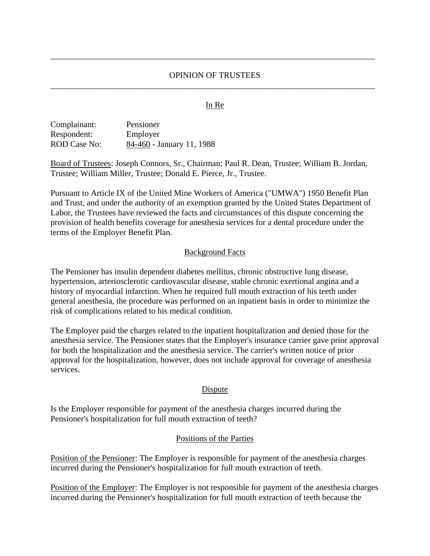# OPINION OF TRUSTEES \_\_\_\_\_\_\_\_\_\_\_\_\_\_\_\_\_\_\_\_\_\_\_\_\_\_\_\_\_\_\_\_\_\_\_\_\_\_\_\_\_\_\_\_\_\_\_\_\_\_\_\_\_\_\_\_\_\_\_\_\_\_\_\_\_\_\_\_\_\_\_\_\_\_\_\_\_

\_\_\_\_\_\_\_\_\_\_\_\_\_\_\_\_\_\_\_\_\_\_\_\_\_\_\_\_\_\_\_\_\_\_\_\_\_\_\_\_\_\_\_\_\_\_\_\_\_\_\_\_\_\_\_\_\_\_\_\_\_\_\_\_\_\_\_\_\_\_\_\_\_\_\_\_\_

### In Re

| Complainant:        | Pensioner                 |
|---------------------|---------------------------|
| Respondent:         | Employer                  |
| <b>ROD</b> Case No: | 84-460 - January 11, 1988 |

Board of Trustees: Joseph Connors, Sr., Chairman; Paul R. Dean, Trustee; William B. Jordan, Trustee; William Miller, Trustee; Donald E. Pierce, Jr., Trustee.

Pursuant to Article IX of the United Mine Workers of America ("UMWA") 1950 Benefit Plan and Trust, and under the authority of an exemption granted by the United States Department of Labor, the Trustees have reviewed the facts and circumstances of this dispute concerning the provision of health benefits coverage for anesthesia services for a dental procedure under the terms of the Employer Benefit Plan.

#### Background Facts

The Pensioner has insulin dependent diabetes mellitus, chronic obstructive lung disease, hypertension, arteriosclerotic cardiovascular disease, stable chronic exertional angina and a history of myocardial infarction. When he required full mouth extraction of his teeth under general anesthesia, the procedure was performed on an inpatient basis in order to minimize the risk of complications related to his medical condition.

The Employer paid the charges related to the inpatient hospitalization and denied those for the anesthesia service. The Pensioner states that the Employer's insurance carrier gave prior approval for both the hospitalization and the anesthesia service. The carrier's written notice of prior approval for the hospitalization, however, does not include approval for coverage of anesthesia services.

#### **Dispute**

Is the Employer responsible for payment of the anesthesia charges incurred during the Pensioner's hospitalization for full mouth extraction of teeth?

## Positions of the Parties

Position of the Pensioner: The Employer is responsible for payment of the anesthesia charges incurred during the Pensioner's hospitalization for full mouth extraction of teeth.

Position of the Employer: The Employer is not responsible for payment of the anesthesia charges incurred during the Pensioner's hospitalization for full mouth extraction of teeth because the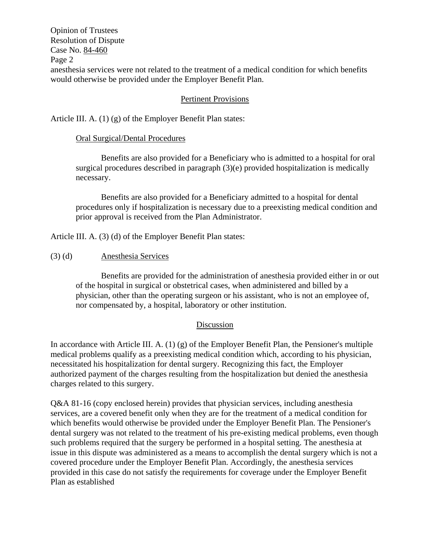Opinion of Trustees Resolution of Dispute Case No. 84-460 Page 2 anesthesia services were not related to the treatment of a medical condition for which benefits would otherwise be provided under the Employer Benefit Plan.

# Pertinent Provisions

Article III. A. (1) (g) of the Employer Benefit Plan states:

## Oral Surgical/Dental Procedures

Benefits are also provided for a Beneficiary who is admitted to a hospital for oral surgical procedures described in paragraph (3)(e) provided hospitalization is medically necessary.

Benefits are also provided for a Beneficiary admitted to a hospital for dental procedures only if hospitalization is necessary due to a preexisting medical condition and prior approval is received from the Plan Administrator.

Article III. A. (3) (d) of the Employer Benefit Plan states:

## (3) (d) Anesthesia Services

Benefits are provided for the administration of anesthesia provided either in or out of the hospital in surgical or obstetrical cases, when administered and billed by a physician, other than the operating surgeon or his assistant, who is not an employee of, nor compensated by, a hospital, laboratory or other institution.

## Discussion

In accordance with Article III. A.  $(1)$  (g) of the Employer Benefit Plan, the Pensioner's multiple medical problems qualify as a preexisting medical condition which, according to his physician, necessitated his hospitalization for dental surgery. Recognizing this fact, the Employer authorized payment of the charges resulting from the hospitalization but denied the anesthesia charges related to this surgery.

Q&A 81-16 (copy enclosed herein) provides that physician services, including anesthesia services, are a covered benefit only when they are for the treatment of a medical condition for which benefits would otherwise be provided under the Employer Benefit Plan. The Pensioner's dental surgery was not related to the treatment of his pre-existing medical problems, even though such problems required that the surgery be performed in a hospital setting. The anesthesia at issue in this dispute was administered as a means to accomplish the dental surgery which is not a covered procedure under the Employer Benefit Plan. Accordingly, the anesthesia services provided in this case do not satisfy the requirements for coverage under the Employer Benefit Plan as established